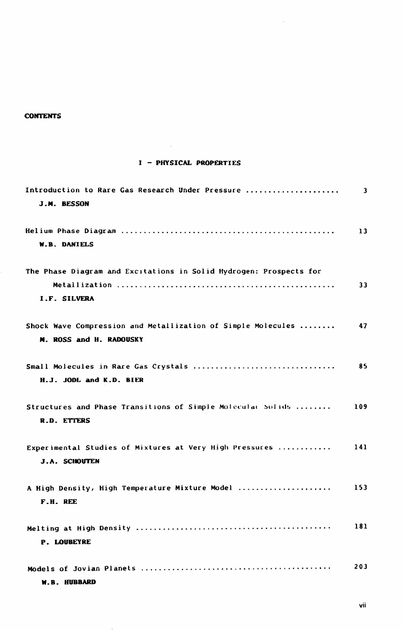## **CONTENTS**

## I - PHYSICAL PROPERTIES

 $\sim$   $\alpha$ 

 $\bar{\alpha}$ 

| Introduction to Rare Gas Research Under Pressure<br>J.M. BESSON                         | 3   |
|-----------------------------------------------------------------------------------------|-----|
| <b>W.B. DANIELS</b>                                                                     | 13  |
| The Phase Diagram and Excitations in Solid Hydrogen: Prospects for<br>I.F. SILVERA      | 33  |
| Shock Wave Compression and Metallization of Simple Molecules<br>M. ROSS and H. RADOUSKY | 47  |
| Small Molecules in Rare Gas Crystals<br>H.J. JODL and K.D. BIER                         | 85  |
| Structures and Phase Transitions of Simple Molecular Solids<br>R.D. ETTERS              | 109 |
| Experimental Studies of Mixtures at Very High Pressures<br><b>J.A. SCHOUTEN</b>         | 141 |
| A High Density, High Temperature Mixture Model<br>F.H. REE                              | 153 |
| <b>P. LOUBEYRE</b>                                                                      | 181 |
| W.B. HUBBARD                                                                            | 203 |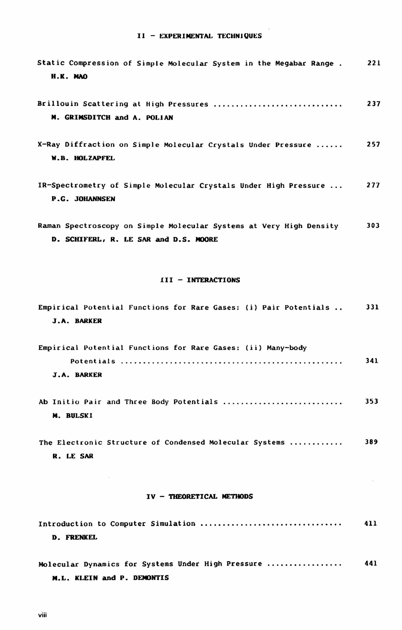| Static Compression of Simple Molecular System in the Megabar Range.<br>H.K. MAO                              | 221 |
|--------------------------------------------------------------------------------------------------------------|-----|
| Brillouin Scattering at High Pressures<br>M. GRIMSDITCH and A. POLIAN                                        | 237 |
| X-Ray Diffraction on Simple Molecular Crystals Under Pressure<br>W.B. HOLZAPFEL                              | 257 |
| IR-Spectrometry of Simple Molecular Crystals Under High Pressure<br><b>P.G. JOHANNSEN</b>                    | 277 |
| Raman Spectroscopy on Simple Molecular Systems at Very High Density<br>D. SCHIFERL, R. LE SAR and D.S. MOORE | 303 |
| III - INTERACTIONS                                                                                           |     |
| Empirical Potential Functions for Rare Gases: (i) Pair Potentials<br><b>J.A. BARKER</b>                      | 331 |
| Empirical Potential Functions for Rare Gases: (ii) Many-body<br>J.A. BARKER                                  | 341 |
| Ab Initio Pair and Three Body Potentials<br>M. BULSKI                                                        | 353 |
| The Electronic Structure of Condensed Molecular Systems<br>R. LE SAR                                         | 389 |
| IV - THEORETICAL METHODS                                                                                     |     |
| Introduction to Computer Simulation<br><b>D. FRENKEL</b>                                                     | 411 |

Molecular Dynamics for Systems Under High Pressure .................. 441 M.L. KLEIN and P. DEMONTIS